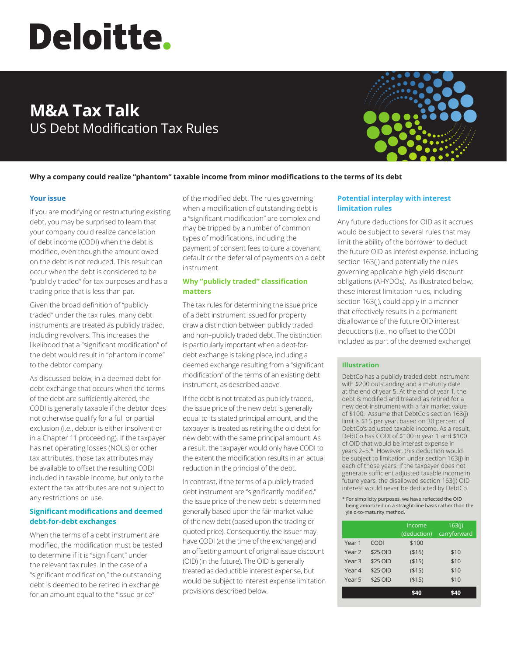# Deloitte.

# **M&A Tax Talk** US Debt Modification Tax Rules



# **Why a company could realize "phantom" taxable income from minor modifications to the terms of its debt**

# **Your issue**

If you are modifying or restructuring existing debt, you may be surprised to learn that your company could realize cancellation of debt income (CODI) when the debt is modified, even though the amount owed on the debt is not reduced. This result can occur when the debt is considered to be "publicly traded" for tax purposes and has a trading price that is less than par.

Given the broad definition of "publicly traded" under the tax rules, many debt instruments are treated as publicly traded, including revolvers. This increases the likelihood that a "significant modification" of the debt would result in "phantom income" to the debtor company.

As discussed below, in a deemed debt-fordebt exchange that occurs when the terms of the debt are sufficiently altered, the CODI is generally taxable if the debtor does not otherwise qualify for a full or partial exclusion (i.e., debtor is either insolvent or in a Chapter 11 proceeding). If the taxpayer has net operating losses (NOLs) or other tax attributes, those tax attributes may be available to offset the resulting CODI included in taxable income, but only to the extent the tax attributes are not subject to any restrictions on use.

# **Significant modifications and deemed debt-for-debt exchanges**

When the terms of a debt instrument are modified, the modification must be tested to determine if it is "significant" under the relevant tax rules. In the case of a "significant modification," the outstanding debt is deemed to be retired in exchange for an amount equal to the "issue price"

of the modified debt. The rules governing when a modification of outstanding debt is a "significant modification" are complex and may be tripped by a number of common types of modifications, including the payment of consent fees to cure a covenant default or the deferral of payments on a debt instrument.

# **Why "publicly traded" classification matters**

The tax rules for determining the issue price of a debt instrument issued for property draw a distinction between publicly traded and non–publicly traded debt. The distinction is particularly important when a debt-fordebt exchange is taking place, including a deemed exchange resulting from a "significant modification" of the terms of an existing debt instrument, as described above.

If the debt is not treated as publicly traded, the issue price of the new debt is generally equal to its stated principal amount, and the taxpayer is treated as retiring the old debt for new debt with the same principal amount. As a result, the taxpayer would only have CODI to the extent the modification results in an actual reduction in the principal of the debt.

In contrast, if the terms of a publicly traded debt instrument are "significantly modified," the issue price of the new debt is determined generally based upon the fair market value of the new debt (based upon the trading or quoted price). Consequently, the issuer may have CODI (at the time of the exchange) and an offsetting amount of original issue discount (OID) (in the future). The OID is generally treated as deductible interest expense, but would be subject to interest expense limitation provisions described below.

# **Potential interplay with interest limitation rules**

Any future deductions for OID as it accrues would be subject to several rules that may limit the ability of the borrower to deduct the future OID as interest expense, including section 163(j) and potentially the rules governing applicable high yield discount obligations (AHYDOs). As illustrated below, these interest limitation rules, including section 163(j), could apply in a manner that effectively results in a permanent disallowance of the future OID interest deductions (i.e., no offset to the CODI included as part of the deemed exchange).

### **Illustration**

DebtCo has a publicly traded debt instrument with \$200 outstanding and a maturity date at the end of year 5. At the end of year 1, the debt is modified and treated as retired for a new debt instrument with a fair market value of \$100. Assume that DebtCo's section 163(j) limit is \$15 per year, based on 30 percent of DebtCo's adjusted taxable income. As a result, DebtCo has CODI of \$100 in year 1 and \$100 of OID that would be interest expense in years 2–5.\* However, this deduction would be subject to limitation under section 163(j) in each of those years. If the taxpayer does not generate sufficient adjusted taxable income in future years, the disallowed section 163(j) OID interest would never be deducted by DebtCo.

\* For simplicity purposes, we have reflected the OID being amortized on a straight-line basis rather than the yield-to-maturity method.

|                   |             | Income<br>(deduction) | 163(i)<br>carryforward |
|-------------------|-------------|-----------------------|------------------------|
| Year 1            | <b>CODI</b> | \$100                 |                        |
| Year <sub>2</sub> | \$25 OID    | ( \$15)               | \$10                   |
| Year <sub>3</sub> | \$25 OID    | ( \$15)               | \$10                   |
| Year 4            | \$25 OID    | ( \$15)               | \$10                   |
| Year 5            | \$25 OID    | ( \$15)               | \$10                   |
|                   |             | S40                   | \$40                   |